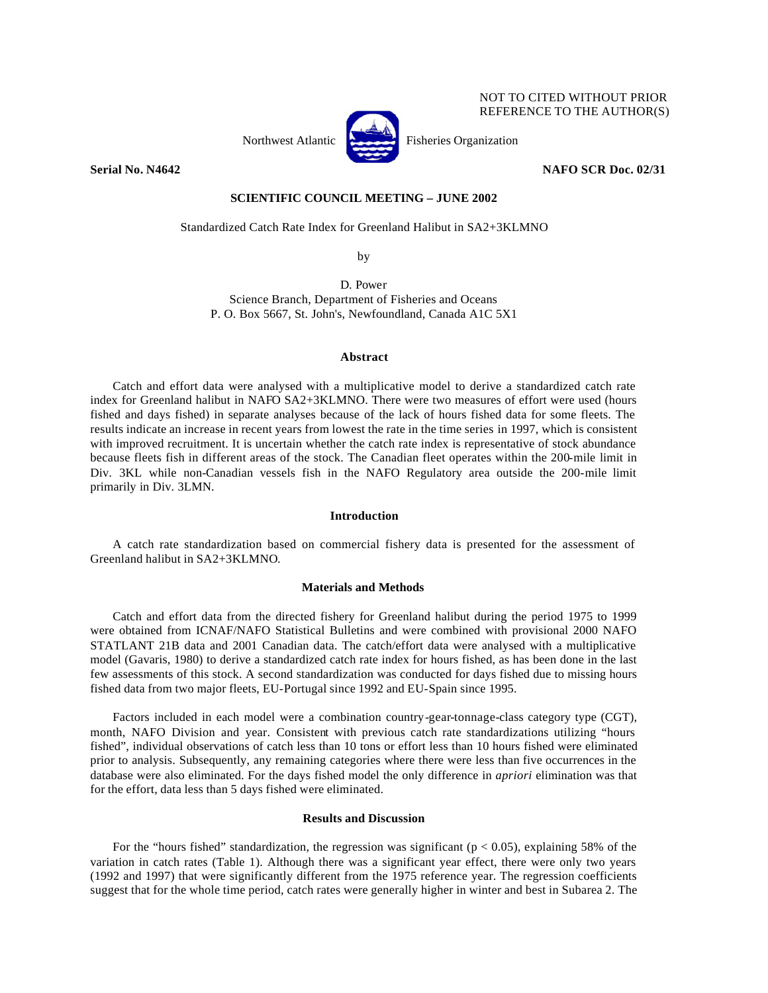

NOT TO CITED WITHOUT PRIOR REFERENCE TO THE AUTHOR(S)

## **Serial No. N4642 NAFO SCR Doc. 02/31**

## **SCIENTIFIC COUNCIL MEETING – JUNE 2002**

Standardized Catch Rate Index for Greenland Halibut in SA2+3KLMNO

by

D. Power Science Branch, Department of Fisheries and Oceans P. O. Box 5667, St. John's, Newfoundland, Canada A1C 5X1

### **Abstract**

Catch and effort data were analysed with a multiplicative model to derive a standardized catch rate index for Greenland halibut in NAFO SA2+3KLMNO. There were two measures of effort were used (hours fished and days fished) in separate analyses because of the lack of hours fished data for some fleets. The results indicate an increase in recent years from lowest the rate in the time series in 1997, which is consistent with improved recruitment. It is uncertain whether the catch rate index is representative of stock abundance because fleets fish in different areas of the stock. The Canadian fleet operates within the 200-mile limit in Div. 3KL while non-Canadian vessels fish in the NAFO Regulatory area outside the 200-mile limit primarily in Div. 3LMN.

### **Introduction**

A catch rate standardization based on commercial fishery data is presented for the assessment of Greenland halibut in SA2+3KLMNO.

## **Materials and Methods**

Catch and effort data from the directed fishery for Greenland halibut during the period 1975 to 1999 were obtained from ICNAF/NAFO Statistical Bulletins and were combined with provisional 2000 NAFO STATLANT 21B data and 2001 Canadian data. The catch/effort data were analysed with a multiplicative model (Gavaris, 1980) to derive a standardized catch rate index for hours fished, as has been done in the last few assessments of this stock. A second standardization was conducted for days fished due to missing hours fished data from two major fleets, EU-Portugal since 1992 and EU-Spain since 1995.

Factors included in each model were a combination country-gear-tonnage-class category type (CGT), month, NAFO Division and year. Consistent with previous catch rate standardizations utilizing "hours fished", individual observations of catch less than 10 tons or effort less than 10 hours fished were eliminated prior to analysis. Subsequently, any remaining categories where there were less than five occurrences in the database were also eliminated. For the days fished model the only difference in *apriori* elimination was that for the effort, data less than 5 days fished were eliminated.

### **Results and Discussion**

For the "hours fished" standardization, the regression was significant ( $p < 0.05$ ), explaining 58% of the variation in catch rates (Table 1). Although there was a significant year effect, there were only two years (1992 and 1997) that were significantly different from the 1975 reference year. The regression coefficients suggest that for the whole time period, catch rates were generally higher in winter and best in Subarea 2. The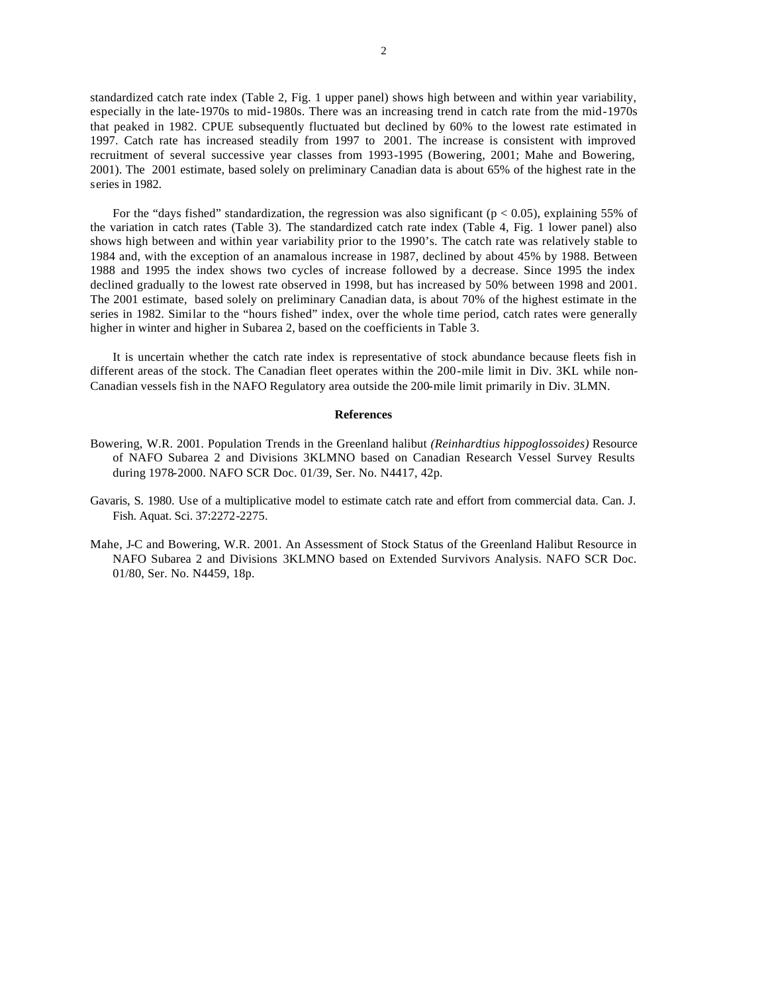standardized catch rate index (Table 2, Fig. 1 upper panel) shows high between and within year variability, especially in the late-1970s to mid-1980s. There was an increasing trend in catch rate from the mid-1970s that peaked in 1982. CPUE subsequently fluctuated but declined by 60% to the lowest rate estimated in 1997. Catch rate has increased steadily from 1997 to 2001. The increase is consistent with improved recruitment of several successive year classes from 1993-1995 (Bowering, 2001; Mahe and Bowering, 2001). The 2001 estimate, based solely on preliminary Canadian data is about 65% of the highest rate in the series in 1982.

For the "days fished" standardization, the regression was also significant ( $p < 0.05$ ), explaining 55% of the variation in catch rates (Table 3). The standardized catch rate index (Table 4, Fig. 1 lower panel) also shows high between and within year variability prior to the 1990's. The catch rate was relatively stable to 1984 and, with the exception of an anamalous increase in 1987, declined by about 45% by 1988. Between 1988 and 1995 the index shows two cycles of increase followed by a decrease. Since 1995 the index declined gradually to the lowest rate observed in 1998, but has increased by 50% between 1998 and 2001. The 2001 estimate, based solely on preliminary Canadian data, is about 70% of the highest estimate in the series in 1982. Similar to the "hours fished" index, over the whole time period, catch rates were generally higher in winter and higher in Subarea 2, based on the coefficients in Table 3.

It is uncertain whether the catch rate index is representative of stock abundance because fleets fish in different areas of the stock. The Canadian fleet operates within the 200-mile limit in Div. 3KL while non-Canadian vessels fish in the NAFO Regulatory area outside the 200-mile limit primarily in Div. 3LMN.

## **References**

- Bowering, W.R. 2001. Population Trends in the Greenland halibut *(Reinhardtius hippoglossoides)* Resource of NAFO Subarea 2 and Divisions 3KLMNO based on Canadian Research Vessel Survey Results during 1978-2000. NAFO SCR Doc. 01/39, Ser. No. N4417, 42p.
- Gavaris, S. 1980. Use of a multiplicative model to estimate catch rate and effort from commercial data. Can. J. Fish. Aquat. Sci. 37:2272-2275.
- Mahe, J-C and Bowering, W.R. 2001. An Assessment of Stock Status of the Greenland Halibut Resource in NAFO Subarea 2 and Divisions 3KLMNO based on Extended Survivors Analysis. NAFO SCR Doc. 01/80, Ser. No. N4459, 18p.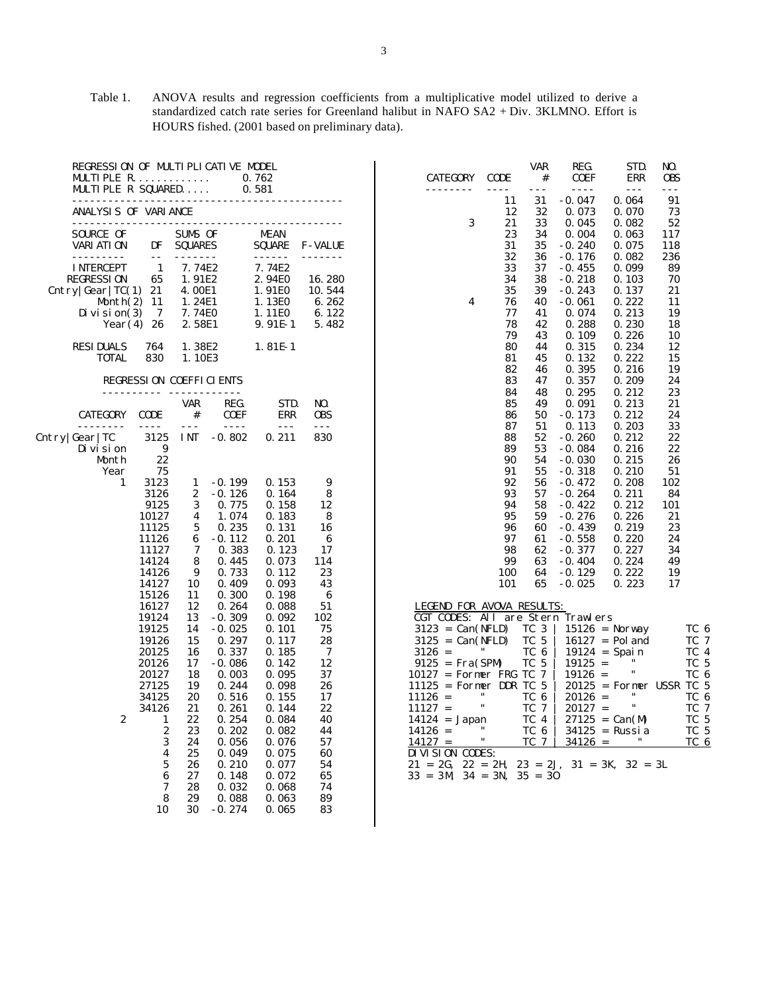Table 1. ANOVA results and regression coefficients from a multiplicative model utilized to derive a standardized catch rate series for Greenland halibut in NAFO SA2 + Div. 3KLMNO. Effort is HOURS fished. (2001 based on preliminary data).

|                                                       |                   | <b>MULTIPLE R.</b><br>MULTIPLE R SQUARED |                    | REGRESSION OF MULTIPLICATIVE MODEL | 0.762<br>0.581               |                           | <b>CATEGORY</b><br>.                                      | <b>CODE</b><br>$- - - -$ | <b>VAR</b><br>$\#$<br>$- - -$ | REG.<br><b>COEF</b><br>$- - - -$ | STD.<br><b>ERR</b><br>$\sim$ $\sim$ $\sim$ | NO.<br><b>OBS</b><br>$- - -$ |                 |
|-------------------------------------------------------|-------------------|------------------------------------------|--------------------|------------------------------------|------------------------------|---------------------------|-----------------------------------------------------------|--------------------------|-------------------------------|----------------------------------|--------------------------------------------|------------------------------|-----------------|
|                                                       |                   |                                          |                    |                                    |                              |                           |                                                           | 11                       | 31                            | $-0.047$                         | 0.064                                      | 91                           |                 |
|                                                       |                   | ANALYSIS OF VARIANCE                     |                    |                                    |                              |                           |                                                           | 12                       | 32                            | 0.073                            | 0.070                                      | 73                           |                 |
|                                                       |                   |                                          |                    |                                    |                              |                           | 3                                                         | 21                       | 33                            | 0.045                            | 0.082                                      | 52                           |                 |
| <b>SOURCE OF</b><br><b>VARI ATI ON</b>                |                   | DF                                       | SUMS OF            |                                    | <b>MEAN</b><br><b>SQUARE</b> |                           |                                                           | 23<br>31                 | 34<br>35                      | 0.004<br>$-0.240$                | 0.063<br>0.075                             | 117                          |                 |
|                                                       |                   | $ -$                                     | <b>SQUARES</b>     |                                    | ------                       | <b>F-VALUE</b><br>------- |                                                           | 32                       | 36                            | $-0.176$                         | 0.082                                      | 118<br>236                   |                 |
| <b>INTERCEPT</b>                                      |                   | $\mathbf{1}$                             | 7.74E2             |                                    | 7.74E2                       |                           |                                                           | 33                       | 37                            | $-0.455$                         | 0.099                                      | 89                           |                 |
| <b>REGRESSION</b>                                     |                   | 65                                       | 1.91E2             |                                    | 2.94E0                       | 16.280                    |                                                           | 34                       | 38                            | $-0.218$                         | 0.103                                      | 70                           |                 |
| Cntry $\left \frac{\text{Gear}}{\text{TC}}\right $ 21 |                   |                                          | 4.00E1             |                                    | 1.91E0                       | 10.544                    |                                                           | 35                       | 39                            | $-0.243$                         | 0.137                                      | 21                           |                 |
|                                                       |                   | Month $(2)$ 11                           | 1.24E1             |                                    | 1.13E0                       | 6.262                     | 4                                                         | 76                       | 40                            | $-0.061$                         | 0.222                                      | 11                           |                 |
|                                                       | Di vi si on $(3)$ | -7                                       | 7.74E0             |                                    | 1.11E0                       | 6.122                     |                                                           | 77                       | 41                            | 0.074                            | 0.213                                      | 19                           |                 |
|                                                       |                   | Year $(4)$ 26                            | 2.58E1             |                                    | 9.91E-1                      | 5.482                     |                                                           | 78                       | 42                            | 0.288                            | 0.230                                      | 18                           |                 |
|                                                       |                   |                                          |                    |                                    |                              |                           |                                                           | 79                       | 43                            | 0.109                            | 0.226                                      | 10                           |                 |
| <b>RESIDUALS</b>                                      |                   | 764                                      | 1.38E2             |                                    | $1.81E-1$                    |                           |                                                           | 80                       | 44                            | 0.315                            | 0.234                                      | 12                           |                 |
|                                                       | <b>TOTAL</b>      | 830                                      | 1.10E3             |                                    |                              |                           |                                                           | 81                       | 45                            | 0.132                            | 0.222                                      | 15                           |                 |
|                                                       |                   |                                          |                    |                                    |                              |                           |                                                           | 82                       | 46                            | 0.395                            | 0.216                                      | 19                           |                 |
|                                                       |                   |                                          |                    | <b>REGRESSION COEFFICIENTS</b>     |                              |                           |                                                           | 83                       | 47                            | 0.357                            | 0.209                                      | 24                           |                 |
|                                                       |                   |                                          |                    |                                    |                              |                           |                                                           | 84                       | 48                            | 0.295                            | 0.212                                      | 23                           |                 |
| <b>CATEGORY</b>                                       |                   | <b>CODE</b>                              | <b>VAR</b><br>$\#$ | REG.<br><b>COEF</b>                | STD.<br>ERR                  | NO.<br><b>OBS</b>         |                                                           | 85<br>86                 | 49<br>50                      | 0.091<br>$-0.173$                | 0.213<br>0.212                             | 21<br>24                     |                 |
|                                                       |                   | $- - - -$                                | $- - -$            | $- - - -$                          | $- - -$                      | $- - -$                   |                                                           | 87                       | 51                            | 0.113                            | 0.203                                      | 33                           |                 |
| Cntry Gear TC                                         |                   | 3125                                     | <b>INT</b>         | $-0.802$                           | 0.211                        | 830                       |                                                           | 88                       | 52                            | $-0.260$                         | 0.212                                      | 22                           |                 |
| Di vi si on                                           |                   | 9                                        |                    |                                    |                              |                           |                                                           | 89                       | 53                            | $-0.084$                         | 0.216                                      | 22                           |                 |
|                                                       | Month             | 22                                       |                    |                                    |                              |                           |                                                           | 90                       | 54                            | $-0.030$                         | 0.215                                      | 26                           |                 |
|                                                       | Year              | 75                                       |                    |                                    |                              |                           |                                                           | 91                       | 55                            | $-0.318$                         | 0.210                                      | 51                           |                 |
|                                                       | 1                 | 3123                                     | 1                  | $-0.199$                           | 0.153                        | 9                         |                                                           | 92                       | 56                            | $-0.472$                         | 0.208                                      | 102                          |                 |
|                                                       |                   | 3126                                     | 2                  | $-0.126$                           | 0.164                        | 8                         |                                                           | 93                       | 57                            | $-0.264$                         | 0.211                                      | 84                           |                 |
|                                                       |                   | 9125                                     | 3                  | 0.775                              | 0.158                        | 12                        |                                                           | 94                       | 58                            | $-0.422$                         | 0.212                                      | 101                          |                 |
|                                                       |                   | 10127                                    | 4                  | 1.074                              | 0.183                        | 8                         |                                                           | 95                       | 59                            | $-0.276$                         | 0.226                                      | 21                           |                 |
|                                                       |                   | 11125                                    | 5                  | 0.235                              | 0.131                        | 16                        |                                                           | 96                       | 60                            | $-0.439$                         | 0.219                                      | 23                           |                 |
|                                                       |                   | 11126                                    | 6                  | $-0.112$                           | 0.201                        | 6                         |                                                           | 97                       | 61                            | $-0.558$                         | 0.220                                      | 24                           |                 |
|                                                       |                   | 11127                                    | 7                  | 0.383                              | 0.123                        | 17                        |                                                           | 98                       | 62                            | $-0.377$                         | 0.227                                      | 34                           |                 |
|                                                       |                   | 14124<br>14126                           | 8<br>9             | 0.445<br>0.733                     | 0.073<br>0.112               | 114<br>23                 |                                                           | 99<br>100                | 63<br>64                      | $-0.404$<br>$-0.129$             | 0.224<br>0.222                             | 49<br>19                     |                 |
|                                                       |                   | 14127                                    | 10                 | 0.409                              | 0.093                        | 43                        |                                                           | 101                      | 65                            | $-0.025$                         | 0.223                                      | 17                           |                 |
|                                                       |                   | 15126                                    | 11                 | 0.300                              | 0.198                        | 6                         |                                                           |                          |                               |                                  |                                            |                              |                 |
|                                                       |                   | 16127                                    | 12                 | 0.264                              | 0.088                        | 51                        | <b>LEGEND FOR AVOVA RESULTS:</b>                          |                          |                               |                                  |                                            |                              |                 |
|                                                       |                   | 19124                                    | 13                 | $-0.309$                           | 0.092                        | 102                       | CGT CODES: All are Stern Trawlers                         |                          |                               |                                  |                                            |                              |                 |
|                                                       |                   | 19125                                    | 14                 | $-0.025$                           | 0.101                        | 75                        | $3123 = Can(NFLD)$                                        |                          | TC 3                          |                                  | $15126$ = Norway                           |                              | TC 6            |
|                                                       |                   | 19126                                    | 15                 | 0.297                              | 0.117                        | 28                        | $3125 = Can(NFLD)$                                        |                          | TC 5                          |                                  | $16127 = Pol$ and                          |                              | TC 7            |
|                                                       |                   | 20125                                    | 16                 | 0.337                              | 0.185                        | 7                         | $3126 =$                                                  |                          | TC 6                          |                                  | $19124 = Spain$                            |                              | $TC_4$          |
|                                                       |                   | 20126                                    | 17                 | $-0.086$                           | 0.142                        | 12                        | $9125 = Fra(SPM)$                                         |                          | TC 5                          | $19125 =$                        | .,                                         |                              | TC 5            |
|                                                       |                   | 20127                                    | 18                 | 0.003                              | 0.095                        | 37                        | $10127$ = Former FRG TC 7                                 |                          |                               | $19126 =$                        |                                            |                              | TC 6            |
|                                                       |                   | 27125                                    | 19                 | 0.244                              | 0.098                        | 26                        | $11125$ = Former DDR TC 5                                 | $^{\prime\prime}$        |                               |                                  | $20125$ = Former USSR TC 5<br>11           |                              |                 |
|                                                       |                   | 34125                                    | 20                 | 0.516                              | 0.155                        | 17                        | $11126 =$                                                 | $\pmb{\mathfrak{m}}$     | TC 6                          | $20126 =$                        | π.                                         |                              | TC 6<br>TC 7    |
|                                                       | $\boldsymbol{2}$  | 34126<br>1                               | 21<br>22           | 0.261<br>0.254                     | 0.144<br>0.084               | 22<br>40                  | $11127 =$                                                 |                          | TC 7<br>$TC_4$                | $20127 =$                        |                                            |                              | TC 5            |
|                                                       |                   | $\boldsymbol{2}$                         | 23                 | 0.202                              | 0.082                        | 44                        | $14124 = Japan$<br>$14126 =$                              |                          | TC 6                          |                                  | $27125 = Can(M)$<br>$34125$ = Russia       |                              | TC 5            |
|                                                       |                   | 3                                        | 24                 | 0.056                              | 0.076                        | 57                        | $14127 =$                                                 | $\pmb{\mathfrak{m}}$     | TC 7                          | $34126 =$                        | $\pmb{\mathsf{H}}$                         |                              | TC <sub>6</sub> |
|                                                       |                   | $\boldsymbol{4}$                         | 25                 | 0.049                              | 0.075                        | 60                        | DIVISION CODES:                                           |                          |                               |                                  |                                            |                              |                 |
|                                                       |                   | 5                                        | 26                 | 0.210                              | 0.077                        | 54                        | $21 = 2G$ , $22 = 2H$ , $23 = 2J$ , $31 = 3K$ , $32 = 3L$ |                          |                               |                                  |                                            |                              |                 |
|                                                       |                   | 6                                        | 27                 | 0.148                              | 0.072                        | 65                        | $33 = 3M$ $34 = 3N$ , $35 = 30$                           |                          |                               |                                  |                                            |                              |                 |
|                                                       |                   | 7                                        | 28                 | 0.032                              | 0.068                        | 74                        |                                                           |                          |                               |                                  |                                            |                              |                 |
|                                                       |                   | 8                                        | 29                 | 0.088                              | 0.063                        | 89                        |                                                           |                          |                               |                                  |                                            |                              |                 |
|                                                       |                   | 10                                       | 30                 | $-0.274$                           | 0.065                        | 83                        |                                                           |                          |                               |                                  |                                            |                              |                 |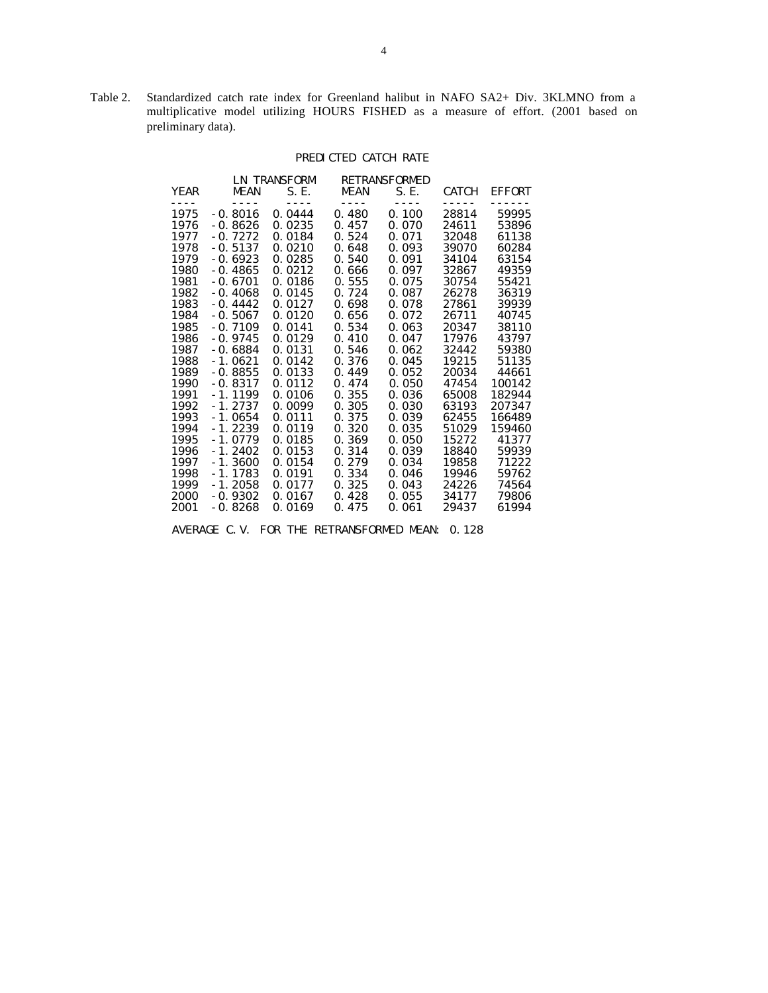Table 2. Standardized catch rate index for Greenland halibut in NAFO SA2+ Div. 3KLMNO from a multiplicative model utilizing HOURS FISHED as a measure of effort. (2001 based on preliminary data).

# PREDICTED CATCH RATE

|              |                                                | LN TRANSFORM   |                    | RETRANSFORMED        |                |               |
|--------------|------------------------------------------------|----------------|--------------------|----------------------|----------------|---------------|
| <b>YEAR</b>  | <b>MEAN</b>                                    | S. E.          | <b>MEAN</b>        | S. E.                | <b>CATCH</b>   | <b>EFFORT</b> |
| ----<br>1975 | - - - -<br>$-0.8016$                           | ----<br>0.0444 | $- - - -$<br>0.480 | $- - - - -$<br>0.100 | -----<br>28814 | 59995         |
| 1976         | $-0.8626$                                      | 0.0235         | 0.457              | 0.070                | 24611          | 53896         |
| 1977         | $-0.7272$                                      | 0.0184         | 0.524              | 0.071                | 32048          | 61138         |
| 1978         | $-0.5137$                                      | 0.0210         | 0.648              | 0.093                | 39070          | 60284         |
| 1979         | $-0.6923$                                      | 0.0285         | 0.540              | 0.091                | 34104          | 63154         |
| 1980         | $-0.4865$                                      | 0.0212         | 0.666              | 0.097                | 32867          | 49359         |
| 1981         | $-0.6701$                                      | 0.0186         | 0.555              | 0.075                | 30754          | 55421         |
| 1982         | $-0.4068$                                      | 0.0145         | 0.724              | 0.087                | 26278          | 36319         |
| 1983         | $-0.4442$                                      | 0.0127         | 0.698              | 0.078                | 27861          | 39939         |
| 1984         | $-0.5067$                                      | 0.0120         | 0.656              | 0.072                | 26711          | 40745         |
| 1985         | $-0.7109$                                      | 0.0141         | 0.534              | 0.063                | 20347          | 38110         |
| 1986         | $-0.9745$                                      | 0.0129         | 0.410              | 0.047                | 17976          | 43797         |
| 1987         | $-0.6884$                                      | 0.0131         | 0.546              | 0.062                | 32442          | 59380         |
| 1988         | $-1.0621$                                      | 0.0142         | 0.376              | 0.045                | 19215          | 51135         |
| 1989         | $-0.8855$                                      | 0.0133         | 0.449              | 0.052                | 20034          | 44661         |
| 1990         | $-0.8317$                                      | 0.0112         | 0.474              | 0.050                | 47454          | 100142        |
| 1991         | $-1.1199$                                      | 0.0106         | 0.355              | 0.036                | 65008          | 182944        |
| 1992         | $-1.2737$                                      | 0.0099         | 0.305              | 0.030                | 63193          | 207347        |
| 1993         | $-1.0654$                                      | 0.0111         | 0.375              | 0.039                | 62455          | 166489        |
| 1994         | - 1. 2239                                      | 0.0119         | 0.320              | 0.035                | 51029          | 159460        |
| 1995         | $-1.0779$                                      | 0.0185         | 0.369              | 0.050                | 15272          | 41377         |
| 1996         | $-1.2402$                                      | 0.0153         | 0.314              | 0.039                | 18840          | 59939         |
| 1997         | $-1.3600$                                      | 0.0154         | 0.279              | 0.034                | 19858          | 71222         |
| 1998         | $-1.1783$                                      | 0.0191         | 0.334              | 0.046                | 19946          | 59762         |
| 1999         | $-1.2058$                                      | 0.0177         | 0.325              | 0.043                | 24226          | 74564         |
| 2000         | $-0.9302$                                      | 0.0167         | 0.428              | 0.055                | 34177          | 79806         |
| 2001         | $-0.8268$                                      | 0.0169         | 0.475              | 0.061                | 29437          | 61994         |
|              | AVERAGE C.V. FOR THE RETRANSFORMED MEAN: 0.128 |                |                    |                      |                |               |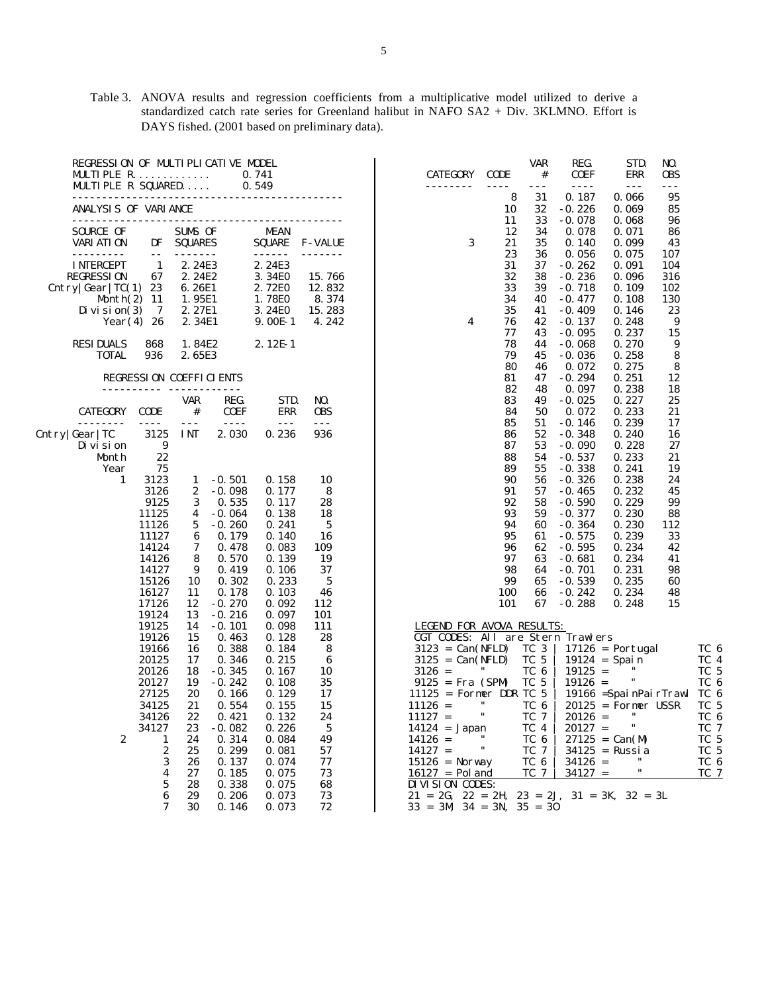Table 3. ANOVA results and regression coefficients from a multiplicative model utilized to derive a standardized catch rate series for Greenland halibut in NAFO SA2 + Div. 3KLMNO. Effort is DAYS fished. (2001 based on preliminary data).

| REGRESSION OF MULTIPLICATIVE MODEL<br>MULTI PLE R.<br>MULTIPLE R SQUARED |                       |                |                                  | 0.741<br>0.549 |                | <b>CATEGORY</b><br>.                                                  | <b>CODE</b><br>$- - - -$ | <b>VAR</b><br>$\#$<br>$- - -$ | REG.<br><b>COEF</b><br>$- - - -$ | STD.<br><b>ERR</b><br>$- - -$ | NO.<br><b>OBS</b><br>$- - -$ |              |
|--------------------------------------------------------------------------|-----------------------|----------------|----------------------------------|----------------|----------------|-----------------------------------------------------------------------|--------------------------|-------------------------------|----------------------------------|-------------------------------|------------------------------|--------------|
| ANALYSIS OF VARIANCE                                                     |                       |                | -------------------------------- |                |                |                                                                       | 8<br>10                  | 31<br>32                      | 0.187<br>$-0.226$                | 0.066<br>0.069                | 95<br>85                     |              |
|                                                                          |                       |                |                                  |                |                |                                                                       | 11                       | 33                            | $-0.078$                         | 0.068                         | 96                           |              |
| SOURCE OF                                                                |                       | SUMS OF        |                                  | <b>MEAN</b>    |                |                                                                       | 12                       | 34                            | 0.078                            | 0.071                         | 86                           |              |
| VARI ATI ON                                                              | DF                    | <b>SQUARES</b> |                                  | <b>SQUARE</b>  | <b>F-VALUE</b> | 3                                                                     | 21                       | 35                            | 0.140                            | 0.099                         | 43                           |              |
| <u>.</u>                                                                 | $- -$                 |                |                                  | $- - - - - -$  |                |                                                                       | 23                       | 36                            | 0.056                            | 0.075                         | 107                          |              |
| <b>INTERCEPT</b>                                                         | 1                     | 2.24E3         |                                  | 2.24E3         |                |                                                                       | 31                       | 37                            | $-0.262$                         | 0.091                         | 104                          |              |
| <b>REGRESSION</b>                                                        | 67                    | 2.24E2         |                                  | 3.34E0         | 15.766         |                                                                       | 32                       | 38                            | $-0.236$                         | 0.096                         | 316                          |              |
| Cntry $\left \frac{\text{Gear}}{\text{TC}(1)}\right $ 23                 |                       | 6.26E1         |                                  | 2.72E0         | 12.832         |                                                                       | 33                       | 39                            | $-0.718$                         | 0.109                         | 102                          |              |
| Month $(2)$ 11                                                           |                       | 1.95E1         |                                  | 1.78E0         | 8.374          |                                                                       | 34                       | 40                            | $-0.477$                         | 0.108                         | 130                          |              |
| Di vi si on $(3)$                                                        | -7                    | 2.27E1         |                                  | 3.24E0         | 15.283         |                                                                       | 35                       | 41                            | $-0.409$                         | 0.146                         | 23                           |              |
|                                                                          | Year $(4)$ 26         | 2.34E1         |                                  | $9.00E-1$      | 4.242          | 4                                                                     | 76                       | 42                            | $-0.137$                         | 0.248                         | 9                            |              |
|                                                                          |                       |                |                                  |                |                |                                                                       | 77                       | 43                            | $-0.095$                         | 0.237                         | 15                           |              |
| <b>RESIDUALS</b>                                                         | 868                   | 1.84E2         |                                  | $2.12E-1$      |                |                                                                       | 78<br>79                 | 44<br>45                      | $-0.068$                         | 0.270                         | 9                            |              |
| <b>TOTAL</b>                                                             | 936                   | 2.65E3         |                                  |                |                |                                                                       | 80                       | 46                            | $-0.036$<br>0.072                | 0.258<br>0.275                | 8<br>8                       |              |
|                                                                          |                       |                | <b>REGRESSION COEFFICIENTS</b>   |                |                |                                                                       | 81                       | 47                            | $-0.294$                         | 0.251                         | 12                           |              |
|                                                                          |                       |                |                                  |                |                |                                                                       | 82                       | 48                            | 0.097                            | 0.238                         | 18                           |              |
|                                                                          |                       | VAR            | REG.                             | STD.           | NO.            |                                                                       | 83                       | 49                            | $-0.025$                         | 0.227                         | 25                           |              |
| <b>CATEGORY</b>                                                          | <b>CODE</b>           | $_{\rm \#}$    | <b>COEF</b>                      | ERR            | <b>OBS</b>     |                                                                       | 84                       | 50                            | 0.072                            | 0.233                         | 21                           |              |
| $- - - -$                                                                | $\frac{1}{2}$         | $- - -$        | $= - - -$                        | $- - -$        | $- - -$        |                                                                       | 85                       | 51                            | $-0.146$                         | 0.239                         | 17                           |              |
| Cntry Gear TC                                                            | 3125                  | <b>INT</b>     | 2.030                            | 0.236          | 936            |                                                                       | 86                       | 52                            | $-0.348$                         | 0.240                         | 16                           |              |
| Di vi si on                                                              | 9                     |                |                                  |                |                |                                                                       | 87                       | 53                            | $-0.090$                         | 0.228                         | 27                           |              |
| Month                                                                    | 22                    |                |                                  |                |                |                                                                       | 88                       | 54                            | $-0.537$                         | 0.233                         | 21                           |              |
| Year                                                                     | 75                    |                |                                  |                |                |                                                                       | 89                       | 55                            | $-0.338$                         | 0.241                         | 19                           |              |
| 1                                                                        | 3123<br>3126          | 1<br>2         | $-0.501$<br>$-0.098$             | 0.158<br>0.177 | 10<br>8        |                                                                       | 90<br>91                 | 56<br>57                      | $-0.326$<br>$-0.465$             | 0.238<br>0.232                | 24<br>45                     |              |
|                                                                          | 9125                  | 3              | 0.535                            | 0.117          | 28             |                                                                       | 92                       | 58                            | $-0.590$                         | 0.229                         | 99                           |              |
|                                                                          | 11125                 | 4              | $-0.064$                         | 0.138          | 18             |                                                                       | 93                       | 59                            | $-0.377$                         | 0.230                         | 88                           |              |
|                                                                          | 11126                 | 5              | $-0.260$                         | 0.241          | 5              |                                                                       | 94                       | 60                            | $-0.364$                         | 0.230                         | 112                          |              |
|                                                                          | 11127                 | 6              | 0.179                            | 0.140          | 16             |                                                                       | 95                       | 61                            | $-0.575$                         | 0.239                         | 33                           |              |
|                                                                          | 14124                 | 7              | 0.478                            | 0.083          | 109            |                                                                       | 96                       | 62                            | $-0.595$                         | 0.234                         | 42                           |              |
|                                                                          | 14126                 | 8              | 0.570                            | 0.139          | 19             |                                                                       | 97                       | 63                            | $-0.681$                         | 0.234                         | 41                           |              |
|                                                                          | 14127                 | 9              | 0.419                            | 0.106          | 37             |                                                                       | 98                       | 64                            | $-0.701$                         | 0.231                         | 98                           |              |
|                                                                          | 15126                 | 10             | 0.302                            | 0.233          | 5              |                                                                       | 99                       | 65                            | $-0.539$                         | 0.235                         | 60                           |              |
|                                                                          | 16127                 | 11             | 0.178                            | 0.103          | 46             |                                                                       | 100                      | 66                            | $-0.242$                         | 0.234                         | 48                           |              |
|                                                                          | 17126                 | 12             | $-0.270$                         | 0.092          | 112            |                                                                       | 101                      | 67                            | $-0.288$                         | 0.248                         | 15                           |              |
|                                                                          | 19124<br>19125        | 13<br>14       | $-0.216$                         | 0.097<br>0.098 | 101<br>111     |                                                                       |                          |                               |                                  |                               |                              |              |
|                                                                          | 19126                 | 15             | $-0.101$<br>0.463                | 0.128          | 28             | <b>LEGEND FOR AVOVA RESULTS:</b><br>CGT CODES: All are Stern Trawlers |                          |                               |                                  |                               |                              |              |
|                                                                          | 19166                 | 16             | 0.388                            | 0.184          | 8              | $3123 = Can(NFLD)$                                                    |                          | TC 3                          |                                  | $17126$ = Portugal            |                              | TC 6         |
|                                                                          | 20125                 | 17             | 0.346                            | 0.215          | 6              | $3125 = Can(NFLD)$                                                    |                          | TC 5                          |                                  | $19124 = Spain$               |                              | TC 4         |
|                                                                          | 20126                 | 18             | $-0.345$                         | 0.167          | 10             | $3126 =$                                                              |                          | TC 6                          | $19125 =$                        |                               |                              | TC 5         |
|                                                                          | 20127                 | 19             | $-0.242$                         | 0.108          | 35             | $9125 = Fra (SPM)$                                                    |                          | TC 5                          | $19126 =$                        | $\pmb{\mathfrak{m}}$          |                              | TC 6         |
|                                                                          | 27125                 | 20             | 0.166                            | 0.129          | 17             | $11125$ = Former DDR TC 5                                             |                          |                               |                                  | 19166 = SpainPairTrawl TC 6   |                              |              |
|                                                                          | 34125                 | 21             | 0.554                            | 0.155          | 15             | $11126 =$                                                             | $^{\prime\prime}$        | TC 6                          |                                  | $20125$ = Former USSR         |                              | TC 5         |
|                                                                          | 34126                 | 22             | 0.421                            | 0.132          | 24             | $11127 =$                                                             | $\pmb{\mathfrak{m}}$     | TC 7                          | $20126 =$                        | $^{\prime\prime}$             |                              | TC 6         |
|                                                                          | 34127                 | 23             | $-0.082$                         | 0.226          | 5              | $14124 = Japan$                                                       |                          | TC 4                          | $20127 =$                        | $\pmb{\mathsf{H}}$            |                              | TC 7         |
| $\boldsymbol{2}$                                                         | $\mathbf{1}$          | 24             | 0.314                            | 0.084          | 49             | $14126 =$                                                             | .,<br>$\pmb{\mathsf{H}}$ | TC 6                          |                                  | $27125 = Can(M)$              |                              | TC 5         |
|                                                                          | $\boldsymbol{2}$<br>3 | 25<br>26       | 0.299<br>0.137                   | 0.081<br>0.074 | 57<br>77       | $14127 =$<br>$15126$ = Norway                                         |                          | TC 7<br>TC 6                  | $34126 =$                        | $34125$ = Russia              |                              | TC 5<br>TC 6 |
|                                                                          | 4                     | 27             | 0.185                            | 0.075          | 73             | $16127 = Pol$ and                                                     |                          | TC 7                          | $34127 =$                        | $\mathbf{H}$                  |                              | TC 7         |
|                                                                          | 5                     | 28             | 0.338                            | 0.075          | 68             | DIVISION CODES:                                                       |                          |                               |                                  |                               |                              |              |
|                                                                          | $\boldsymbol{6}$      | 29             | 0.206                            | 0.073          | 73             | $21 = 2G$ , $22 = 2H$ , $23 = 2J$ , $31 = 3K$ , $32 = 3L$             |                          |                               |                                  |                               |                              |              |
|                                                                          | 7                     | 30             | 0.146                            | 0.073          | 72             | $33 = 3M$ $34 = 3N$ , $35 = 30$                                       |                          |                               |                                  |                               |                              |              |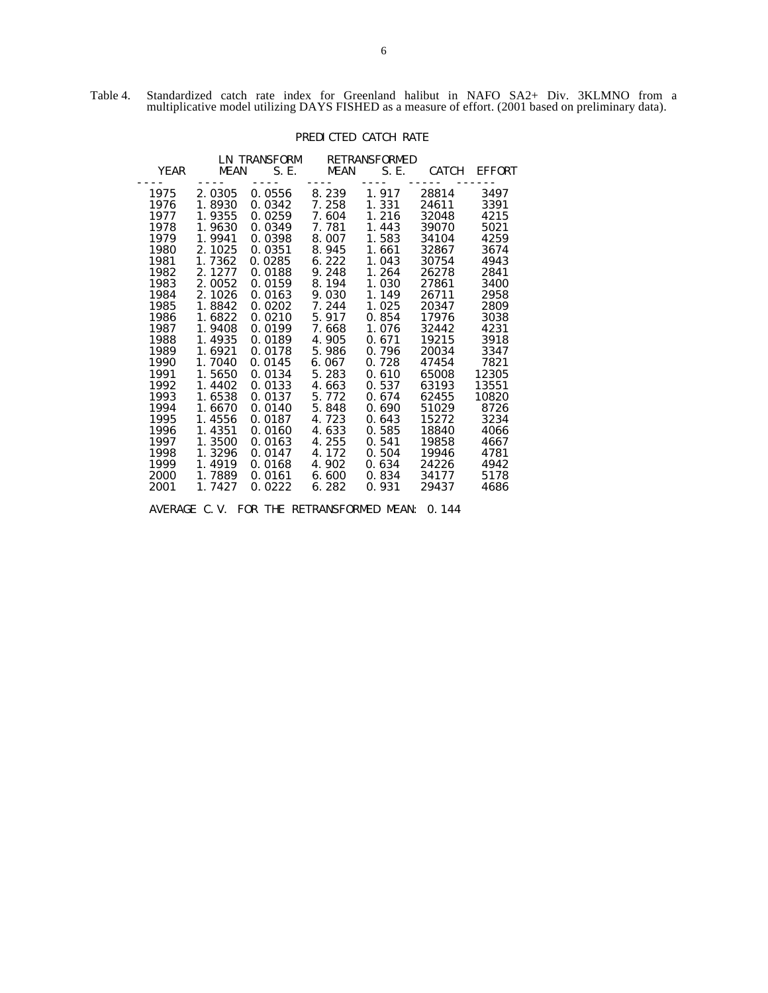Table 4. Standardized catch rate index for Greenland halibut in NAFO SA2+ Div. 3KLMNO from a multiplicative model utilizing DAYS FISHED as a measure of effort. (2001 based on preliminary data).

# PREDICTED CATCH RATE

|             |                | LN TRANSFORM          | <b>RETRANSFORMED</b> |       |              |               |  |
|-------------|----------------|-----------------------|----------------------|-------|--------------|---------------|--|
| <b>YEAR</b> | <b>MEAN</b>    | S. E.                 | MEAN                 | S. E. | <b>CATCH</b> | <b>EFFORT</b> |  |
| 1975        | ----<br>2.0305 | $- - - - -$<br>0.0556 | ----<br>8. 239       | 1.917 | 28814        | 3497          |  |
| 1976        | 1.8930         | 0.0342                | 7. 258               | 1.331 | 24611        | 3391          |  |
| 1977        | 1.9355         | 0.0259                | 7. 604               | 1.216 | 32048        | 4215          |  |
| 1978        | 1.9630         | 0.0349                | 7.781                | 1.443 | 39070        | 5021          |  |
| 1979        | 1.9941         | 0.0398                | 8.007                | 1.583 | 34104        | 4259          |  |
| 1980        | 2.1025         | 0.0351                | 8.945                | 1.661 | 32867        | 3674          |  |
| 1981        | 1.7362         | 0.0285                | 6.222                | 1.043 | 30754        | 4943          |  |
| 1982        | 2.1277         | 0.0188                | 9.248                | 1.264 | 26278        | 2841          |  |
| 1983        | 2.0052         | 0.0159                | 8.194                | 1.030 | 27861        | 3400          |  |
| 1984        | 2.1026         | 0.0163                | 9.030                | 1.149 | 26711        | 2958          |  |
| 1985        | 1.8842         | 0.0202                | 7.244                | 1.025 | 20347        | 2809          |  |
| 1986        | 1.6822         | 0.0210                | 5.917                | 0.854 | 17976        | 3038          |  |
| 1987        | 1.9408         | 0.0199                | 7.668                | 1.076 | 32442        | 4231          |  |
| 1988        | 1.4935         | 0.0189                | 4.905                | 0.671 | 19215        | 3918          |  |
| 1989        | 1.6921         | 0.0178                | 5.986                | 0.796 | 20034        | 3347          |  |
| 1990        | 1.7040         | 0.0145                | 6.067                | 0.728 | 47454        | 7821          |  |
| 1991        | 1.5650         | 0.0134                | 5.283                | 0.610 | 65008        | 12305         |  |
| 1992        | 1.4402         | 0.0133                | 4.663                | 0.537 | 63193        | 13551         |  |
| 1993        | 1.6538         | 0.0137                | 5.772                | 0.674 | 62455        | 10820         |  |
| 1994        | 1.6670         | 0.0140                | 5.848                | 0.690 | 51029        | 8726          |  |
| 1995        | 1.4556         | 0.0187                | 4.723                | 0.643 | 15272        | 3234          |  |
| 1996        | 1.4351         | 0.0160                | 4.633                | 0.585 | 18840        | 4066          |  |
| 1997        | 1.3500         | 0.0163                | 4.255                | 0.541 | 19858        | 4667          |  |
| 1998        | 1.3296         | 0.0147                | 4.172                | 0.504 | 19946        | 4781          |  |
| 1999        | 1.4919         | 0.0168                | 4.902                | 0.634 | 24226        | 4942          |  |
| 2000        | 1.7889         | 0.0161                | 6.600                | 0.834 | 34177        | 5178          |  |
| 2001        | 1.7427         | 0.0222                | 6.282                | 0.931 | 29437        | 4686          |  |
|             |                |                       |                      |       |              |               |  |

AVERAGE C.V. FOR THE RETRANSFORMED MEAN: 0.144